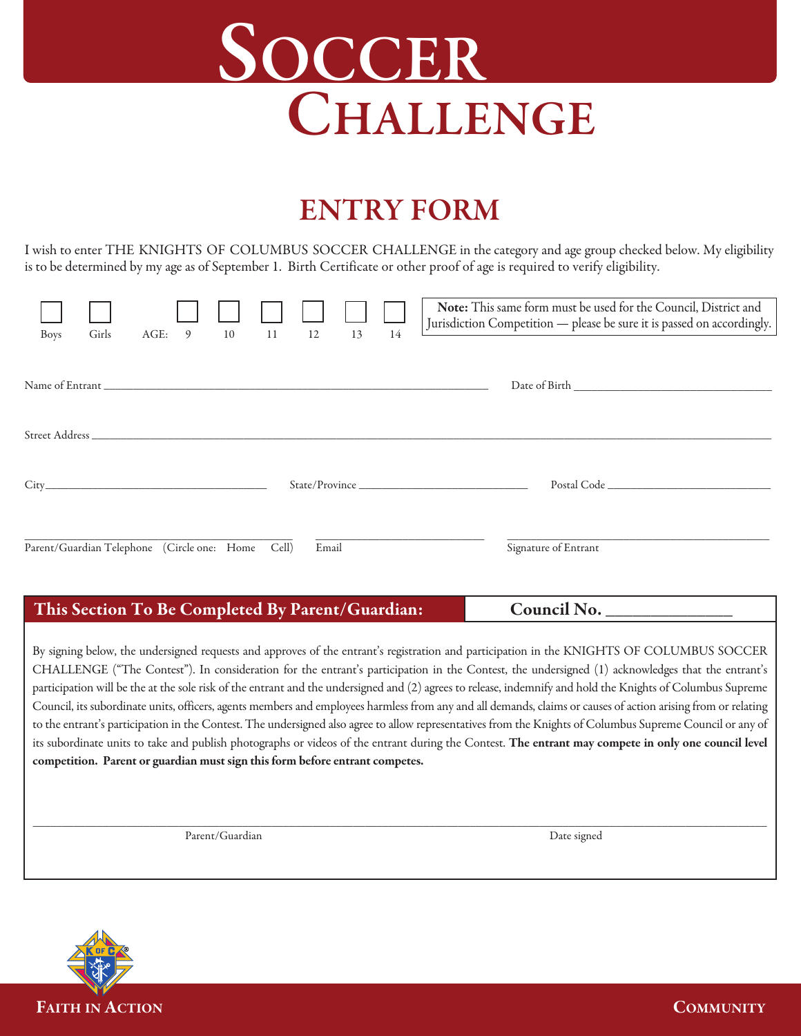# **SOCCER CHALLENGE**

## **ENTRY FORM**

I wish to enter THE KNIGHTS OF COLUMBUS SOCCER CHALLENGE in the category and age group checked below. My eligibility is to be determined by my age as of September 1. Birth Certificate or other proof of age is required to verify eligibility.

| <b>Boys</b> | Girls | AGE: 9 10                                         | 11 | 12    | 13 | 14 | Note: This same form must be used for the Council, District and<br>Jurisdiction Competition - please be sure it is passed on accordingly. |
|-------------|-------|---------------------------------------------------|----|-------|----|----|-------------------------------------------------------------------------------------------------------------------------------------------|
|             |       |                                                   |    |       |    |    |                                                                                                                                           |
|             |       |                                                   |    |       |    |    |                                                                                                                                           |
|             |       |                                                   |    |       |    |    | State/Province                                                                                                                            |
|             |       | Parent/Guardian Telephone (Circle one: Home Cell) |    | Email |    |    | Signature of Entrant                                                                                                                      |

#### **This Section To Be Completed By Parent/Guardian:**

**Council No. \_\_\_\_\_\_\_\_\_\_\_\_\_\_**

By signing below, the undersigned requests and approves of the entrant's registration and participation in the KNIGHTS OF COLUMBUS SOCCER CHALLENGE ("The Contest"). In consideration for the entrant's participation in the Contest, the undersigned (1) acknowledges that the entrant's participation will be the at the sole risk of the entrant and the undersigned and (2) agrees to release, indemnify and hold the Knights of Columbus Supreme Council, its subordinate units, officers, agents members and employees harmless from any and all demands, claims or causes of action arising from or relating to the entrant's participation in the Contest. The undersigned also agree to allow representatives from the Knights of Columbus Supreme Council or any of its subordinate units to take and publish photographs or videos of the entrant during the Contest. **The entrant may compete in only one council level competition. Parent or guardian mustsign thisform before entrant competes.**

**\_\_\_\_\_\_\_\_\_\_\_\_\_\_\_\_\_\_\_\_\_\_\_\_\_\_\_\_\_\_\_\_\_\_\_\_\_\_\_\_\_\_\_\_\_\_\_\_\_\_\_\_\_\_\_\_\_\_\_\_\_\_\_\_\_\_\_\_\_\_\_\_\_\_\_\_\_\_\_\_\_\_\_\_\_\_\_\_\_\_\_\_\_\_\_\_\_\_\_\_\_\_\_\_\_\_\_\_\_\_\_\_\_\_\_\_\_\_\_\_\_\_\_\_\_\_**

Parent/Guardian Date signed